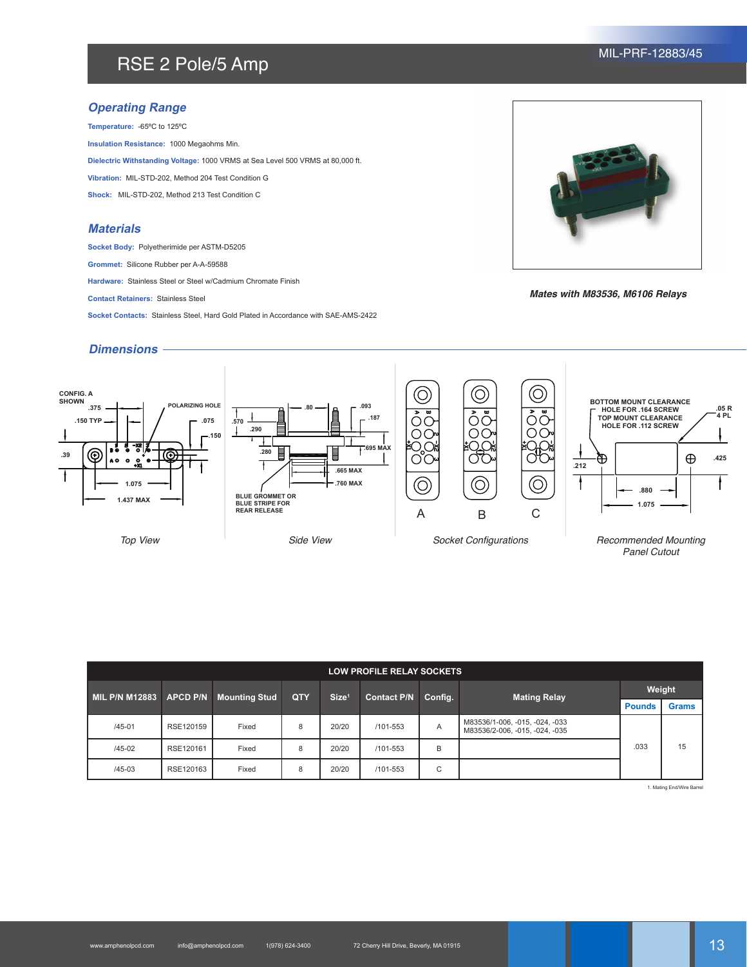# RSE 2 Pole/5 Amp MIL-PRF-12883/45

## **Operating Range**

**Temperature:** -65ºC to 125ºC **Insulation Resistance:** 1000 Megaohms Min. **Dielectric Withstanding Voltage:** 1000 VRMS at Sea Level 500 VRMS at 80,000 ft. **Vibration:** MIL-STD-202, Method 204 Test Condition G **Shock:** MIL-STD-202, Method 213 Test Condition C

### **Materials**

**Socket Body:** Polyetherimide per ASTM-D5205

**Grommet:** Silicone Rubber per A-A-59588

**Hardware:** Stainless Steel or Steel w/Cadmium Chromate Finish

**Contact Retainers:** Stainless Steel

**Socket Contacts:** Stainless Steel, Hard Gold Plated in Accordance with SAE-AMS-2422



*Mates with M83536, M6106 Relays*



| <b>LOW PROFILE RELAY SOCKETS</b> |                 |                      |     |                   |                    |             |                                                                  |               |              |  |  |  |
|----------------------------------|-----------------|----------------------|-----|-------------------|--------------------|-------------|------------------------------------------------------------------|---------------|--------------|--|--|--|
| <b>MIL P/N M12883</b>            | <b>APCD P/N</b> | <b>Mounting Stud</b> | QTY | Size <sup>1</sup> | <b>Contact P/N</b> | Config.     | <b>Mating Relay</b>                                              | Weight        |              |  |  |  |
|                                  |                 |                      |     |                   |                    |             |                                                                  | <b>Pounds</b> | <b>Grams</b> |  |  |  |
| $/45 - 01$                       | RSE120159       | Fixed                | 8   | 20/20             | $/101 - 553$       | A           | M83536/1-006, -015, -024, -033<br>M83536/2-006, -015, -024, -035 | .033          | 15           |  |  |  |
| $/45 - 02$                       | RSE120161       | Fixed                | 8   | 20/20             | $/101 - 553$       | B           |                                                                  |               |              |  |  |  |
| $/45 - 03$                       | RSE120163       | Fixed                | 8   | 20/20             | /101-553           | $\sim$<br>◡ |                                                                  |               |              |  |  |  |

1. Mating End/Wire Barrel

Relay Sockets | **Amphenol Pcd** www.amphenolpcd.com info@amphenolpcd.com 1(978) 624-3400 72 Cherry Hill Drive, Beverly, MA 01915 13